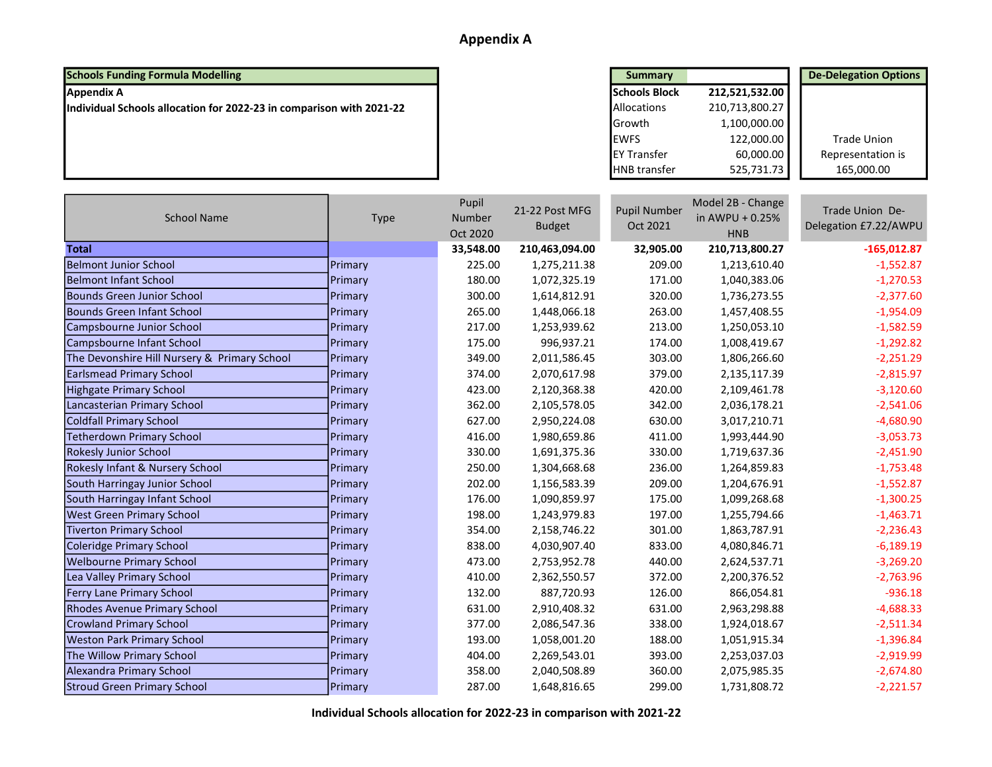### Appendix A

### **Schools Funding Formula Modelling**

| <b>Schools Funding Formula Modelling</b>                             | <b>Summary</b>       |                | <b>De-Delegation Options</b> |
|----------------------------------------------------------------------|----------------------|----------------|------------------------------|
| Appendix A                                                           | <b>Schools Block</b> | 212,521,532.00 |                              |
| Individual Schools allocation for 2022-23 in comparison with 2021-22 | <b>Allocations</b>   | 210,713,800.27 |                              |
|                                                                      | <b>Growth</b>        | 1,100,000.00   |                              |
|                                                                      | <b>IEWFS</b>         | 122,000.00     | Trade Union                  |
|                                                                      | <b>IEY Transfer</b>  | 60,000.00      | Representation is            |
|                                                                      | <b>HNB</b> transfer  | 525,731.73     | 165,000.00                   |

| <b>School Name</b>                           | <b>Type</b>    | Pupil<br>Number<br>Oct 2020 | 21-22 Post MFG<br><b>Budget</b> | <b>Pupil Number</b><br>Oct 2021 | Model 2B - Change<br>in AWPU + 0.25%<br><b>HNB</b> | Trade Union De-<br>Delegation £7.22/AWPU |
|----------------------------------------------|----------------|-----------------------------|---------------------------------|---------------------------------|----------------------------------------------------|------------------------------------------|
| <b>Total</b>                                 |                | 33,548.00                   | 210,463,094.00                  | 32,905.00                       | 210,713,800.27                                     | $-165,012.87$                            |
| <b>Belmont Junior School</b>                 | <b>Primary</b> | 225.00                      | 1,275,211.38                    | 209.00                          | 1,213,610.40                                       | $-1,552.87$                              |
| <b>Belmont Infant School</b>                 | Primary        | 180.00                      | 1,072,325.19                    | 171.00                          | 1,040,383.06                                       | $-1,270.53$                              |
| <b>Bounds Green Junior School</b>            | <b>Primary</b> | 300.00                      | 1,614,812.91                    | 320.00                          | 1,736,273.55                                       | $-2,377.60$                              |
| <b>Bounds Green Infant School</b>            | Primary        | 265.00                      | 1,448,066.18                    | 263.00                          | 1,457,408.55                                       | $-1,954.09$                              |
| Campsbourne Junior School                    | Primary        | 217.00                      | 1,253,939.62                    | 213.00                          | 1,250,053.10                                       | $-1,582.59$                              |
| Campsbourne Infant School                    | <b>Primary</b> | 175.00                      | 996,937.21                      | 174.00                          | 1,008,419.67                                       | $-1,292.82$                              |
| The Devonshire Hill Nursery & Primary School | Primary        | 349.00                      | 2,011,586.45                    | 303.00                          | 1,806,266.60                                       | $-2,251.29$                              |
| <b>Earlsmead Primary School</b>              | Primary        | 374.00                      | 2,070,617.98                    | 379.00                          | 2,135,117.39                                       | $-2,815.97$                              |
| <b>Highgate Primary School</b>               | <b>Primary</b> | 423.00                      | 2,120,368.38                    | 420.00                          | 2,109,461.78                                       | $-3,120.60$                              |
| Lancasterian Primary School                  | Primary        | 362.00                      | 2,105,578.05                    | 342.00                          | 2,036,178.21                                       | $-2,541.06$                              |
| <b>Coldfall Primary School</b>               | Primary        | 627.00                      | 2,950,224.08                    | 630.00                          | 3,017,210.71                                       | $-4,680.90$                              |
| <b>Tetherdown Primary School</b>             | Primary        | 416.00                      | 1,980,659.86                    | 411.00                          | 1,993,444.90                                       | $-3,053.73$                              |
| <b>Rokesly Junior School</b>                 | Primary        | 330.00                      | 1,691,375.36                    | 330.00                          | 1,719,637.36                                       | $-2,451.90$                              |
| Rokesly Infant & Nursery School              | Primary        | 250.00                      | 1,304,668.68                    | 236.00                          | 1,264,859.83                                       | $-1,753.48$                              |
| South Harringay Junior School                | Primary        | 202.00                      | 1,156,583.39                    | 209.00                          | 1,204,676.91                                       | $-1,552.87$                              |
| South Harringay Infant School                | Primary        | 176.00                      | 1,090,859.97                    | 175.00                          | 1,099,268.68                                       | $-1,300.25$                              |
| <b>West Green Primary School</b>             | <b>Primary</b> | 198.00                      | 1,243,979.83                    | 197.00                          | 1,255,794.66                                       | $-1,463.71$                              |
| <b>Tiverton Primary School</b>               | Primary        | 354.00                      | 2,158,746.22                    | 301.00                          | 1,863,787.91                                       | $-2,236.43$                              |
| Coleridge Primary School                     | Primary        | 838.00                      | 4,030,907.40                    | 833.00                          | 4,080,846.71                                       | $-6,189.19$                              |
| <b>Welbourne Primary School</b>              | Primary        | 473.00                      | 2,753,952.78                    | 440.00                          | 2,624,537.71                                       | $-3,269.20$                              |
| Lea Valley Primary School                    | Primary        | 410.00                      | 2,362,550.57                    | 372.00                          | 2,200,376.52                                       | $-2,763.96$                              |
| Ferry Lane Primary School                    | Primary        | 132.00                      | 887,720.93                      | 126.00                          | 866,054.81                                         | $-936.18$                                |
| <b>Rhodes Avenue Primary School</b>          | Primary        | 631.00                      | 2,910,408.32                    | 631.00                          | 2,963,298.88                                       | $-4,688.33$                              |
| <b>Crowland Primary School</b>               | Primary        | 377.00                      | 2,086,547.36                    | 338.00                          | 1,924,018.67                                       | $-2,511.34$                              |
| <b>Weston Park Primary School</b>            | Primary        | 193.00                      | 1,058,001.20                    | 188.00                          | 1,051,915.34                                       | $-1,396.84$                              |
| The Willow Primary School                    | Primary        | 404.00                      | 2,269,543.01                    | 393.00                          | 2,253,037.03                                       | $-2,919.99$                              |
| Alexandra Primary School                     | Primary        | 358.00                      | 2,040,508.89                    | 360.00                          | 2,075,985.35                                       | $-2,674.80$                              |
| <b>Stroud Green Primary School</b>           | Primary        | 287.00                      | 1,648,816.65                    | 299.00                          | 1,731,808.72                                       | $-2,221.57$                              |

Individual Schools allocation for 2022-23 in comparison with 2021-22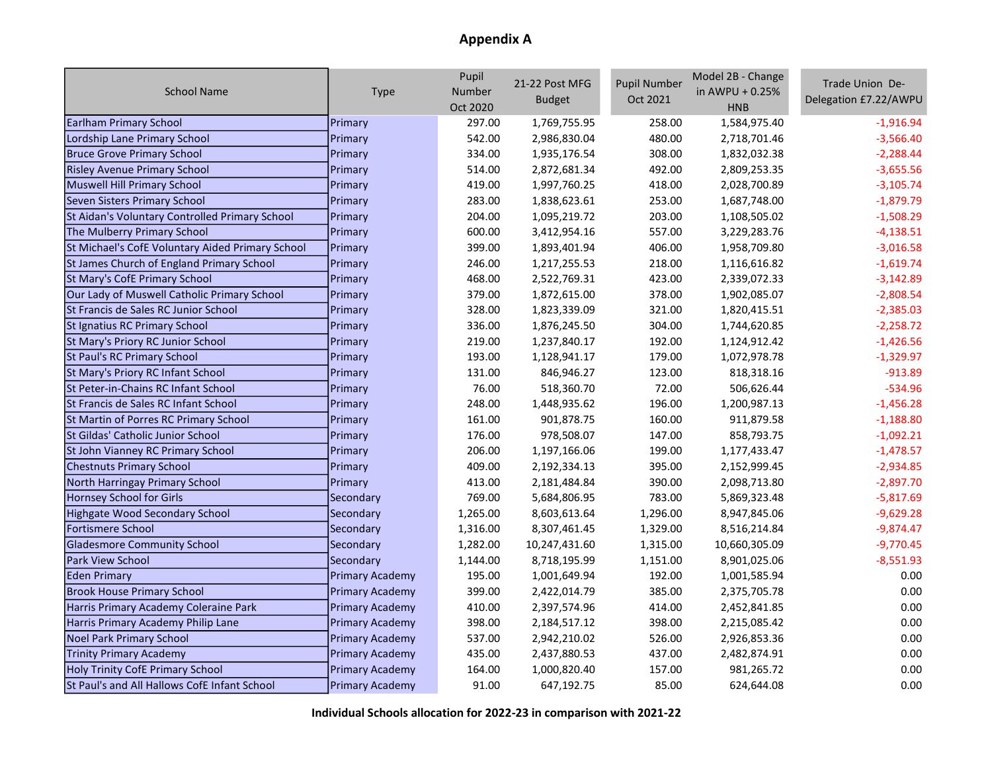# Appendix A

| <b>School Name</b>                               | Type                   | Pupil<br>Number<br>Oct 2020 | 21-22 Post MFG<br><b>Budget</b> | <b>Pupil Number</b><br>Oct 2021 | Model 2B - Change<br>in AWPU + 0.25%<br><b>HNB</b> | Trade Union De-<br>Delegation £7.22/AWPU |
|--------------------------------------------------|------------------------|-----------------------------|---------------------------------|---------------------------------|----------------------------------------------------|------------------------------------------|
| <b>Earlham Primary School</b>                    | Primary                | 297.00                      | 1,769,755.95                    | 258.00                          | 1,584,975.40                                       | $-1,916.94$                              |
| Lordship Lane Primary School                     | Primary                | 542.00                      | 2,986,830.04                    | 480.00                          | 2,718,701.46                                       | $-3,566.40$                              |
| <b>Bruce Grove Primary School</b>                | Primary                | 334.00                      | 1,935,176.54                    | 308.00                          | 1,832,032.38                                       | $-2,288.44$                              |
| <b>Risley Avenue Primary School</b>              | Primary                | 514.00                      | 2,872,681.34                    | 492.00                          | 2,809,253.35                                       | $-3,655.56$                              |
| Muswell Hill Primary School                      | Primary                | 419.00                      | 1,997,760.25                    | 418.00                          | 2,028,700.89                                       | $-3,105.74$                              |
| Seven Sisters Primary School                     | Primary                | 283.00                      | 1,838,623.61                    | 253.00                          | 1,687,748.00                                       | $-1,879.79$                              |
| St Aidan's Voluntary Controlled Primary School   | Primary                | 204.00                      | 1,095,219.72                    | 203.00                          | 1,108,505.02                                       | $-1,508.29$                              |
| The Mulberry Primary School                      | Primary                | 600.00                      | 3,412,954.16                    | 557.00                          | 3,229,283.76                                       | $-4,138.51$                              |
| St Michael's CofE Voluntary Aided Primary School | Primary                | 399.00                      | 1,893,401.94                    | 406.00                          | 1,958,709.80                                       | $-3,016.58$                              |
| St James Church of England Primary School        | Primary                | 246.00                      | 1,217,255.53                    | 218.00                          | 1,116,616.82                                       | $-1,619.74$                              |
| <b>St Mary's CofE Primary School</b>             | Primary                | 468.00                      | 2,522,769.31                    | 423.00                          | 2,339,072.33                                       | $-3,142.89$                              |
| Our Lady of Muswell Catholic Primary School      | Primary                | 379.00                      | 1,872,615.00                    | 378.00                          | 1,902,085.07                                       | $-2,808.54$                              |
| St Francis de Sales RC Junior School             | Primary                | 328.00                      | 1,823,339.09                    | 321.00                          | 1,820,415.51                                       | $-2,385.03$                              |
| <b>St Ignatius RC Primary School</b>             | Primary                | 336.00                      | 1,876,245.50                    | 304.00                          | 1,744,620.85                                       | $-2,258.72$                              |
| St Mary's Priory RC Junior School                | Primary                | 219.00                      | 1,237,840.17                    | 192.00                          | 1,124,912.42                                       | $-1,426.56$                              |
| <b>St Paul's RC Primary School</b>               | Primary                | 193.00                      | 1,128,941.17                    | 179.00                          | 1,072,978.78                                       | $-1,329.97$                              |
| St Mary's Priory RC Infant School                | Primary                | 131.00                      | 846,946.27                      | 123.00                          | 818,318.16                                         | $-913.89$                                |
| St Peter-in-Chains RC Infant School              | Primary                | 76.00                       | 518,360.70                      | 72.00                           | 506,626.44                                         | $-534.96$                                |
| St Francis de Sales RC Infant School             | Primary                | 248.00                      | 1,448,935.62                    | 196.00                          | 1,200,987.13                                       | $-1,456.28$                              |
| St Martin of Porres RC Primary School            | Primary                | 161.00                      | 901,878.75                      | 160.00                          | 911,879.58                                         | $-1,188.80$                              |
| St Gildas' Catholic Junior School                | Primary                | 176.00                      | 978,508.07                      | 147.00                          | 858,793.75                                         | $-1,092.21$                              |
| St John Vianney RC Primary School                | Primary                | 206.00                      | 1,197,166.06                    | 199.00                          | 1,177,433.47                                       | $-1,478.57$                              |
| <b>Chestnuts Primary School</b>                  | Primary                | 409.00                      | 2,192,334.13                    | 395.00                          | 2,152,999.45                                       | $-2,934.85$                              |
| North Harringay Primary School                   | Primary                | 413.00                      | 2,181,484.84                    | 390.00                          | 2,098,713.80                                       | $-2,897.70$                              |
| Hornsey School for Girls                         | Secondary              | 769.00                      | 5,684,806.95                    | 783.00                          | 5,869,323.48                                       | $-5,817.69$                              |
| Highgate Wood Secondary School                   | Secondary              | 1,265.00                    | 8,603,613.64                    | 1,296.00                        | 8,947,845.06                                       | $-9,629.28$                              |
| <b>Fortismere School</b>                         | Secondary              | 1,316.00                    | 8,307,461.45                    | 1,329.00                        | 8,516,214.84                                       | $-9,874.47$                              |
| <b>Gladesmore Community School</b>               | Secondary              | 1,282.00                    | 10,247,431.60                   | 1,315.00                        | 10,660,305.09                                      | $-9,770.45$                              |
| <b>Park View School</b>                          | Secondary              | 1,144.00                    | 8,718,195.99                    | 1,151.00                        | 8,901,025.06                                       | $-8,551.93$                              |
| Eden Primary                                     | <b>Primary Academy</b> | 195.00                      | 1,001,649.94                    | 192.00                          | 1,001,585.94                                       | 0.00                                     |
| <b>Brook House Primary School</b>                | <b>Primary Academy</b> | 399.00                      | 2,422,014.79                    | 385.00                          | 2,375,705.78                                       | 0.00                                     |
| Harris Primary Academy Coleraine Park            | <b>Primary Academy</b> | 410.00                      | 2,397,574.96                    | 414.00                          | 2,452,841.85                                       | 0.00                                     |
| Harris Primary Academy Philip Lane               | Primary Academy        | 398.00                      | 2,184,517.12                    | 398.00                          | 2,215,085.42                                       | 0.00                                     |
| Noel Park Primary School                         | <b>Primary Academy</b> | 537.00                      | 2,942,210.02                    | 526.00                          | 2,926,853.36                                       | 0.00                                     |
| <b>Trinity Primary Academy</b>                   | <b>Primary Academy</b> | 435.00                      | 2,437,880.53                    | 437.00                          | 2,482,874.91                                       | 0.00                                     |
| Holy Trinity CofE Primary School                 | <b>Primary Academy</b> | 164.00                      | 1,000,820.40                    | 157.00                          | 981,265.72                                         | 0.00                                     |
| St Paul's and All Hallows CofE Infant School     | <b>Primary Academy</b> | 91.00                       | 647,192.75                      | 85.00                           | 624,644.08                                         | 0.00                                     |

Individual Schools allocation for 2022-23 in comparison with 2021-22